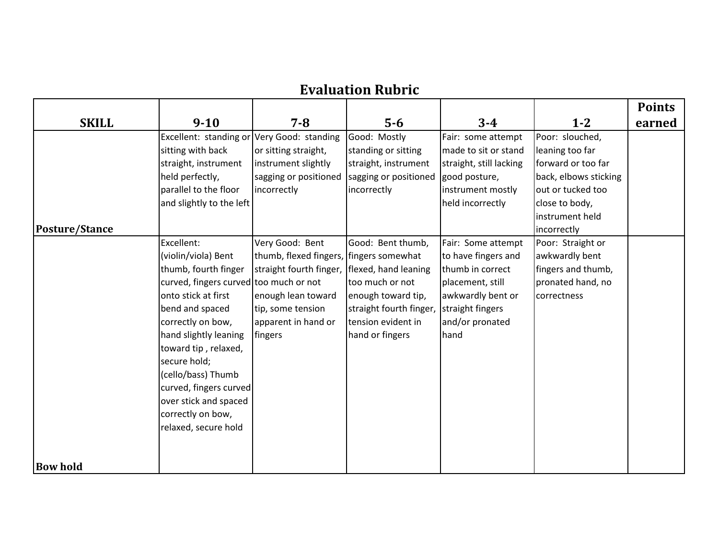## **Evaluation Rubric**

|                 |                                        |                                                |                         |                         |                       | <b>Points</b> |
|-----------------|----------------------------------------|------------------------------------------------|-------------------------|-------------------------|-----------------------|---------------|
| <b>SKILL</b>    | $9 - 10$                               | $7 - 8$                                        | $5-6$                   | $3 - 4$                 | $1 - 2$               | earned        |
|                 | Excellent: standing or                 | Very Good: standing                            | Good: Mostly            | Fair: some attempt      | Poor: slouched,       |               |
|                 | sitting with back                      | or sitting straight,                           | standing or sitting     | made to sit or stand    | leaning too far       |               |
|                 | straight, instrument                   | instrument slightly                            | straight, instrument    | straight, still lacking | forward or too far    |               |
|                 | held perfectly,                        | sagging or positioned                          | sagging or positioned   | good posture,           | back, elbows sticking |               |
|                 | parallel to the floor                  | incorrectly                                    | incorrectly             | instrument mostly       | out or tucked too     |               |
|                 | and slightly to the left               |                                                |                         | held incorrectly        | close to body,        |               |
|                 |                                        |                                                |                         |                         | instrument held       |               |
| Posture/Stance  |                                        |                                                |                         |                         | incorrectly           |               |
|                 | Excellent:                             | Very Good: Bent                                | Good: Bent thumb,       | Fair: Some attempt      | Poor: Straight or     |               |
|                 | (violin/viola) Bent                    | thumb, flexed fingers, fingers somewhat        |                         | to have fingers and     | awkwardly bent        |               |
|                 | thumb, fourth finger                   | straight fourth finger,   flexed, hand leaning |                         | thumb in correct        | fingers and thumb,    |               |
|                 | curved, fingers curved too much or not |                                                | too much or not         | placement, still        | pronated hand, no     |               |
|                 | onto stick at first                    | enough lean toward                             | enough toward tip,      | awkwardly bent or       | correctness           |               |
|                 | bend and spaced                        | tip, some tension                              | straight fourth finger, | straight fingers        |                       |               |
|                 | correctly on bow,                      | apparent in hand or                            | tension evident in      | and/or pronated         |                       |               |
|                 | hand slightly leaning                  | fingers                                        | hand or fingers         | hand                    |                       |               |
|                 | toward tip, relaxed,                   |                                                |                         |                         |                       |               |
|                 | secure hold;                           |                                                |                         |                         |                       |               |
|                 | (cello/bass) Thumb                     |                                                |                         |                         |                       |               |
|                 | curved, fingers curved                 |                                                |                         |                         |                       |               |
|                 | over stick and spaced                  |                                                |                         |                         |                       |               |
|                 | correctly on bow,                      |                                                |                         |                         |                       |               |
|                 | relaxed, secure hold                   |                                                |                         |                         |                       |               |
|                 |                                        |                                                |                         |                         |                       |               |
| <b>Bow hold</b> |                                        |                                                |                         |                         |                       |               |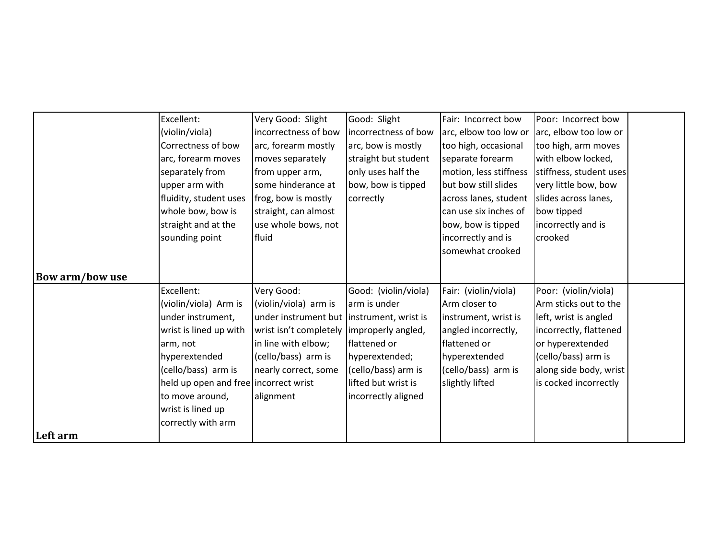|                        | Excellent:                            | Very Good: Slight                          | Good: Slight         | Fair: Incorrect bow    | Poor: Incorrect bow     |  |
|------------------------|---------------------------------------|--------------------------------------------|----------------------|------------------------|-------------------------|--|
|                        | (violin/viola)                        | incorrectness of bow                       | incorrectness of bow | arc, elbow too low or  | arc, elbow too low or   |  |
|                        | Correctness of bow                    | arc, forearm mostly                        | arc, bow is mostly   | too high, occasional   | too high, arm moves     |  |
|                        | arc, forearm moves                    | moves separately                           | straight but student | separate forearm       | with elbow locked,      |  |
|                        | separately from                       | from upper arm,                            | only uses half the   | motion, less stiffness | stiffness, student uses |  |
|                        | upper arm with                        | some hinderance at                         | bow, bow is tipped   | but bow still slides   | very little bow, bow    |  |
|                        | fluidity, student uses                | frog, bow is mostly                        | correctly            | across lanes, student  | slides across lanes,    |  |
|                        | whole bow, bow is                     | straight, can almost                       |                      | can use six inches of  | bow tipped              |  |
|                        | straight and at the                   | use whole bows, not                        |                      | bow, bow is tipped     | incorrectly and is      |  |
|                        | sounding point                        | fluid                                      |                      | incorrectly and is     | crooked                 |  |
|                        |                                       |                                            |                      | somewhat crooked       |                         |  |
|                        |                                       |                                            |                      |                        |                         |  |
| <b>Bow arm/bow use</b> |                                       |                                            |                      |                        |                         |  |
|                        | Excellent:                            | Very Good:                                 | Good: (violin/viola) | Fair: (violin/viola)   | Poor: (violin/viola)    |  |
|                        | (violin/viola) Arm is                 | (violin/viola) arm is                      | arm is under         | Arm closer to          | Arm sticks out to the   |  |
|                        | under instrument,                     | under instrument but  instrument, wrist is |                      | instrument, wrist is   | left, wrist is angled   |  |
|                        | wrist is lined up with                | wrist isn't completely                     | improperly angled,   | angled incorrectly,    | incorrectly, flattened  |  |
|                        | arm, not                              | in line with elbow;                        | flattened or         | flattened or           | or hyperextended        |  |
|                        | hyperextended                         | (cello/bass) arm is                        | hyperextended;       | hyperextended          | (cello/bass) arm is     |  |
|                        | (cello/bass) arm is                   | nearly correct, some                       | (cello/bass) arm is  | (cello/bass) arm is    | along side body, wrist  |  |
|                        | held up open and free incorrect wrist |                                            | lifted but wrist is  | slightly lifted        | is cocked incorrectly   |  |
|                        | to move around,                       | alignment                                  | incorrectly aligned  |                        |                         |  |
|                        | wrist is lined up                     |                                            |                      |                        |                         |  |
|                        | correctly with arm                    |                                            |                      |                        |                         |  |
| Left arm               |                                       |                                            |                      |                        |                         |  |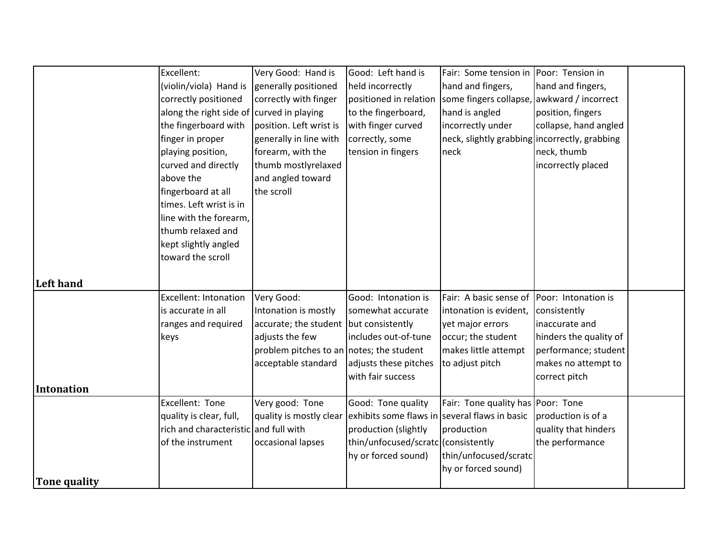|                     | Excellent:                                | Very Good: Hand is                       | Good: Left hand is                                                    | Fair: Some tension in                         | Poor: Tension in       |  |
|---------------------|-------------------------------------------|------------------------------------------|-----------------------------------------------------------------------|-----------------------------------------------|------------------------|--|
|                     |                                           |                                          |                                                                       |                                               |                        |  |
|                     | (violin/viola) Hand is                    | generally positioned                     | held incorrectly                                                      | hand and fingers,                             | hand and fingers,      |  |
|                     | correctly positioned                      | correctly with finger                    | positioned in relation                                                | some fingers collapse,                        | awkward / incorrect    |  |
|                     | along the right side of curved in playing |                                          | to the fingerboard,                                                   | hand is angled                                | position, fingers      |  |
|                     | the fingerboard with                      | position. Left wrist is                  | with finger curved                                                    | incorrectly under                             | collapse, hand angled  |  |
|                     | finger in proper                          | generally in line with                   | correctly, some                                                       | neck, slightly grabbing incorrectly, grabbing |                        |  |
|                     | playing position,                         | forearm, with the                        | tension in fingers                                                    | neck                                          | neck, thumb            |  |
|                     | curved and directly                       | thumb mostlyrelaxed                      |                                                                       |                                               | incorrectly placed     |  |
|                     | above the                                 | and angled toward                        |                                                                       |                                               |                        |  |
|                     | fingerboard at all                        | the scroll                               |                                                                       |                                               |                        |  |
|                     | times. Left wrist is in                   |                                          |                                                                       |                                               |                        |  |
|                     | line with the forearm,                    |                                          |                                                                       |                                               |                        |  |
|                     | thumb relaxed and                         |                                          |                                                                       |                                               |                        |  |
|                     | kept slightly angled                      |                                          |                                                                       |                                               |                        |  |
|                     | toward the scroll                         |                                          |                                                                       |                                               |                        |  |
|                     |                                           |                                          |                                                                       |                                               |                        |  |
| <b>Left hand</b>    |                                           |                                          |                                                                       |                                               |                        |  |
|                     | <b>Excellent: Intonation</b>              | Very Good:                               | Good: Intonation is                                                   | Fair: A basic sense of                        | Poor: Intonation is    |  |
|                     | is accurate in all                        | Intonation is mostly                     | somewhat accurate                                                     | intonation is evident,                        | consistently           |  |
|                     | ranges and required                       | accurate; the student but consistently   |                                                                       | yet major errors                              | inaccurate and         |  |
|                     | keys                                      | adjusts the few                          | includes out-of-tune                                                  | occur; the student                            | hinders the quality of |  |
|                     |                                           | problem pitches to an notes; the student |                                                                       | makes little attempt                          | performance; student   |  |
|                     |                                           | acceptable standard                      | adjusts these pitches                                                 | to adjust pitch                               | makes no attempt to    |  |
|                     |                                           |                                          | with fair success                                                     |                                               | correct pitch          |  |
| <b>Intonation</b>   |                                           |                                          |                                                                       |                                               |                        |  |
|                     | Excellent: Tone                           | Very good: Tone                          | Good: Tone quality                                                    | Fair: Tone quality has Poor: Tone             |                        |  |
|                     | quality is clear, full,                   |                                          | quality is mostly clear exhibits some flaws in several flaws in basic |                                               | production is of a     |  |
|                     | rich and characteristic and full with     |                                          | production (slightly                                                  | production                                    | quality that hinders   |  |
|                     | of the instrument                         | occasional lapses                        | thin/unfocused/scratc (consistently                                   |                                               | the performance        |  |
|                     |                                           |                                          | hy or forced sound)                                                   | thin/unfocused/scratc                         |                        |  |
|                     |                                           |                                          |                                                                       | hy or forced sound)                           |                        |  |
| <b>Tone quality</b> |                                           |                                          |                                                                       |                                               |                        |  |